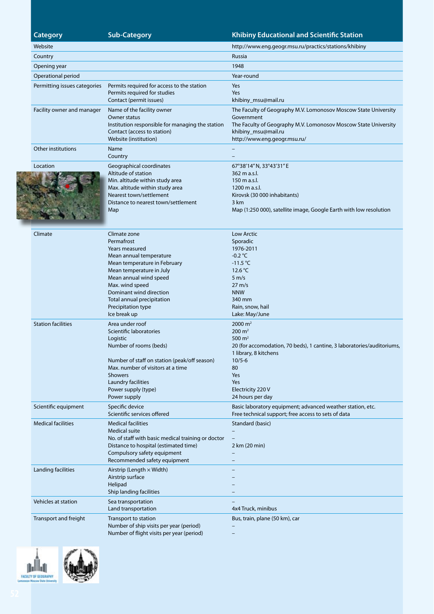**CALCULUM** 

# **Category Sub-Category Sub-Category Category Rightange Educational and Scientific Station**

|  | Website                      |                                                                                                                                                                                                                                                                                 | http://www.eng.geogr.msu.ru/practics/stations/khibiny                                                                                                                                                                             |
|--|------------------------------|---------------------------------------------------------------------------------------------------------------------------------------------------------------------------------------------------------------------------------------------------------------------------------|-----------------------------------------------------------------------------------------------------------------------------------------------------------------------------------------------------------------------------------|
|  | Country                      |                                                                                                                                                                                                                                                                                 | Russia                                                                                                                                                                                                                            |
|  | Opening year                 |                                                                                                                                                                                                                                                                                 | 1948                                                                                                                                                                                                                              |
|  | Operational period           |                                                                                                                                                                                                                                                                                 | Year-round                                                                                                                                                                                                                        |
|  | Permitting issues categories | Permits required for access to the station<br>Permits required for studies<br>Contact (permit issues)                                                                                                                                                                           | Yes<br>Yes<br>khibiny_msu@mail.ru                                                                                                                                                                                                 |
|  | Facility owner and manager   | Name of the facility owner<br>Owner status<br>Institution responsible for managing the station<br>Contact (access to station)<br>Website (institution)                                                                                                                          | The Faculty of Geography M.V. Lomonosov Moscow State University<br>Government<br>The Faculty of Geography M.V. Lomonosov Moscow State University<br>khibiny_msu@mail.ru<br>http://www.eng.geogr.msu.ru/                           |
|  | Other institutions           | Name<br>Country                                                                                                                                                                                                                                                                 |                                                                                                                                                                                                                                   |
|  | Location                     | Geographical coordinates<br>Altitude of station<br>Min. altitude within study area<br>Max. altitude within study area<br>Nearest town/settlement<br>Distance to nearest town/settlement<br>Map                                                                                  | 67°38'14" N, 33°43'31" E<br>362 m a.s.l.<br>150 m a.s.l.<br>1200 m a.s.l.<br>Kirovsk (30 000 inhabitants)<br>3 km<br>Map (1:250 000), satellite image, Google Earth with low resolution                                           |
|  | Climate                      | Climate zone<br>Permafrost<br>Years measured<br>Mean annual temperature<br>Mean temperature in February<br>Mean temperature in July<br>Mean annual wind speed<br>Max. wind speed<br>Dominant wind direction<br>Total annual precipitation<br>Precipitation type<br>Ice break up | <b>Low Arctic</b><br>Sporadic<br>1976-2011<br>$-0.2$ °C<br>$-11.5 °C$<br>12.6 $\degree$ C<br>$5 \text{ m/s}$<br>$27 \text{ m/s}$<br><b>NNW</b><br>340 mm<br>Rain, snow, hail<br>Lake: May/June                                    |
|  | <b>Station facilities</b>    | Area under roof<br>Scientific laboratories<br>Logistic<br>Number of rooms (beds)<br>Number of staff on station (peak/off season)<br>Max. number of visitors at a time<br><b>Showers</b><br>Laundry facilities<br>Power supply (type)<br>Power supply                            | $2000 \text{ m}^2$<br>$200 \text{ m}^2$<br>500 $m2$<br>20 (for accomodation, 70 beds), 1 cantine, 3 laboratories/auditoriums,<br>1 library, 8 kitchens<br>$10/5 - 6$<br>80<br>Yes<br>Yes<br>Electricity 220 V<br>24 hours per day |
|  | Scientific equipment         | Specific device<br>Scientific services offered                                                                                                                                                                                                                                  | Basic laboratory equipment; advanced weather station, etc.<br>Free technical support; free access to sets of data                                                                                                                 |
|  | <b>Medical facilities</b>    | <b>Medical facilities</b><br><b>Medical suite</b><br>No. of staff with basic medical training or doctor<br>Distance to hospital (estimated time)<br>Compulsory safety equipment<br>Recommended safety equipment                                                                 | Standard (basic)<br>2 km (20 min)                                                                                                                                                                                                 |
|  | Landing facilities           | Airstrip (Length $\times$ Width)<br>Airstrip surface<br>Helipad<br>Ship landing facilities                                                                                                                                                                                      |                                                                                                                                                                                                                                   |
|  | Vehicles at station          | Sea transportation<br>Land transportation                                                                                                                                                                                                                                       | 4x4 Truck, minibus                                                                                                                                                                                                                |
|  | Transport and freight        | Transport to station<br>Number of ship visits per year (period)<br>Number of flight visits per year (period)                                                                                                                                                                    | Bus, train, plane (50 km), car                                                                                                                                                                                                    |